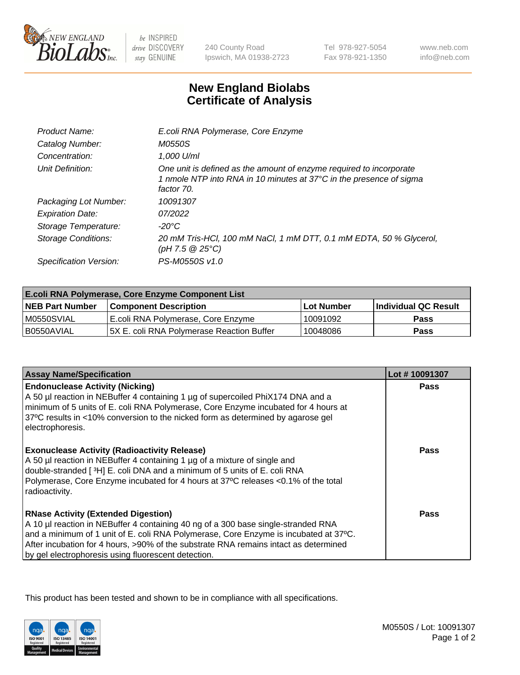

 $be$  INSPIRED drive DISCOVERY stay GENUINE

240 County Road Ipswich, MA 01938-2723 Tel 978-927-5054 Fax 978-921-1350 www.neb.com info@neb.com

## **New England Biolabs Certificate of Analysis**

| Product Name:              | E.coli RNA Polymerase, Core Enzyme                                                                                                                       |
|----------------------------|----------------------------------------------------------------------------------------------------------------------------------------------------------|
| Catalog Number:            | M0550S                                                                                                                                                   |
| Concentration:             | 1,000 U/ml                                                                                                                                               |
| Unit Definition:           | One unit is defined as the amount of enzyme required to incorporate<br>1 nmole NTP into RNA in 10 minutes at 37°C in the presence of sigma<br>factor 70. |
| Packaging Lot Number:      | 10091307                                                                                                                                                 |
| <b>Expiration Date:</b>    | 07/2022                                                                                                                                                  |
| Storage Temperature:       | -20°C                                                                                                                                                    |
| <b>Storage Conditions:</b> | 20 mM Tris-HCl, 100 mM NaCl, 1 mM DTT, 0.1 mM EDTA, 50 % Glycerol,<br>(pH 7.5 @ 25°C)                                                                    |
| Specification Version:     | PS-M0550S v1.0                                                                                                                                           |

| <b>E.coli RNA Polymerase, Core Enzyme Component List</b> |                                            |            |                      |  |
|----------------------------------------------------------|--------------------------------------------|------------|----------------------|--|
| <b>NEB Part Number</b>                                   | <b>Component Description</b>               | Lot Number | Individual QC Result |  |
| M0550SVIAL                                               | E.coli RNA Polymerase, Core Enzyme         | 10091092   | Pass                 |  |
| I B0550AVIAL                                             | I5X E. coli RNA Polvmerase Reaction Buffer | 10048086   | <b>Pass</b>          |  |

| <b>Assay Name/Specification</b>                                                                                                                                                                                                                                                                                                                                        | Lot #10091307 |
|------------------------------------------------------------------------------------------------------------------------------------------------------------------------------------------------------------------------------------------------------------------------------------------------------------------------------------------------------------------------|---------------|
| <b>Endonuclease Activity (Nicking)</b><br>A 50 µl reaction in NEBuffer 4 containing 1 µg of supercoiled PhiX174 DNA and a<br>minimum of 5 units of E. coli RNA Polymerase, Core Enzyme incubated for 4 hours at<br>37°C results in <10% conversion to the nicked form as determined by agarose gel<br>electrophoresis.                                                 | <b>Pass</b>   |
| <b>Exonuclease Activity (Radioactivity Release)</b><br>A 50 µl reaction in NEBuffer 4 containing 1 µg of a mixture of single and<br>double-stranded [3H] E. coli DNA and a minimum of 5 units of E. coli RNA<br>Polymerase, Core Enzyme incubated for 4 hours at 37°C releases <0.1% of the total<br>radioactivity.                                                    | Pass          |
| <b>RNase Activity (Extended Digestion)</b><br>A 10 µl reaction in NEBuffer 4 containing 40 ng of a 300 base single-stranded RNA<br>and a minimum of 1 unit of E. coli RNA Polymerase, Core Enzyme is incubated at 37°C.<br>After incubation for 4 hours, >90% of the substrate RNA remains intact as determined<br>by gel electrophoresis using fluorescent detection. | Pass          |

This product has been tested and shown to be in compliance with all specifications.